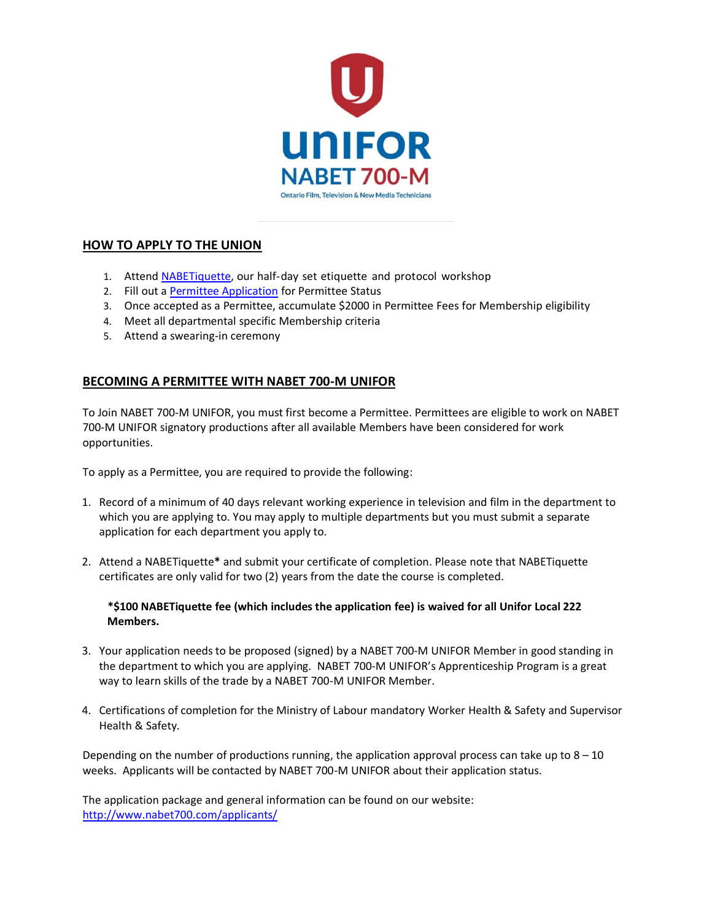

# **HOW TO APPLY TO THE UNION**

- 1. Atten[d NABETiquette,](http://www.nabet700.com/applicants/nabetiquette_applicants/) our half-day set etiquette and protocol workshop
- 2. Fill out [a Permittee Application](http://www.nabet700.com/applicants/2020/05/14/Permittee_Application_Form_may14_2020.pdf) for Permittee Status
- 3. Once accepted as a Permittee, accumulate \$2000 in Permittee Fees for Membership eligibility
- 4. Meet all departmental specific Membership criteria
- 5. Attend a swearing-in ceremony

# **BECOMING A PERMITTEE WITH NABET 700-M UNIFOR**

To Join NABET 700-M UNIFOR, you must first become a Permittee. Permittees are eligible to work on NABET 700-M UNIFOR signatory productions after all available Members have been considered for work opportunities.

To apply as a Permittee, you are required to provide the following:

- 1. Record of a minimum of 40 days relevant working experience in television and film in the department to which you are applying to. You may apply to multiple departments but you must submit a separate application for each department you apply to.
- 2. Attend a NABETiquette**\*** and submit your certificate of completion. Please note that NABETiquette certificates are only valid for two (2) years from the date the course is completed.

#### **\*\$100 NABETiquette fee (which includes the application fee) is waived for all Unifor Local 222 Members.**

- 3. Your application needs to be proposed (signed) by a NABET 700-M UNIFOR Member in good standing in the department to which you are applying. NABET 700-M UNIFOR's Apprenticeship Program is a great way to learn skills of the trade by a NABET 700-M UNIFOR Member.
- 4. Certifications of completion for the Ministry of Labour mandatory Worker Health & Safety and Supervisor Health & Safety.

Depending on the number of productions running, the application approval process can take up to  $8 - 10$ weeks. Applicants will be contacted by NABET 700-M UNIFOR about their application status.

The application package and general information can be found on our website: <http://www.nabet700.com/applicants/>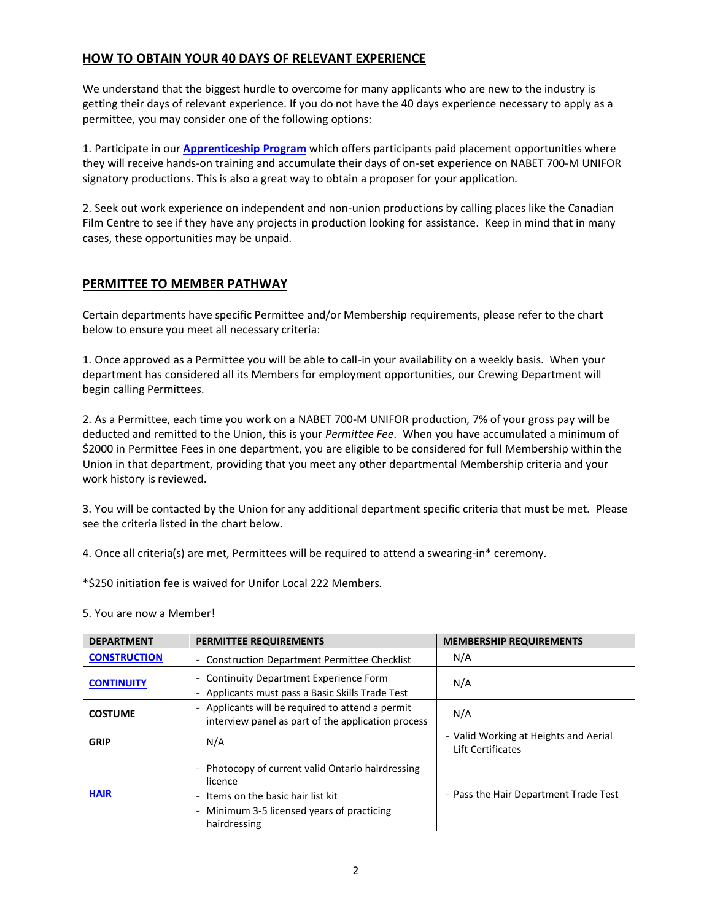#### **HOW TO OBTAIN YOUR 40 DAYS OF RELEVANT EXPERIENCE**

We understand that the biggest hurdle to overcome for many applicants who are new to the industry is getting their days of relevant experience. If you do not have the 40 days experience necessary to apply as a permittee, you may consider one of the following options:

1. Participate in our **[Apprenticeship Program](http://www.nabet700.com/applicants/apprenticeship_program/)** which offers participants paid placement opportunities where they will receive hands-on training and accumulate their days of on-set experience on NABET 700-M UNIFOR signatory productions. This is also a great way to obtain a proposer for your application.

2. Seek out work experience on independent and non-union productions by calling places like the Canadian Film Centre to see if they have any projects in production looking for assistance. Keep in mind that in many cases, these opportunities may be unpaid.

# **PERMITTEE TO MEMBER PATHWAY**

Certain departments have specific Permittee and/or Membership requirements, please refer to the chart below to ensure you meet all necessary criteria:

1. Once approved as a Permittee you will be able to call-in your availability on a weekly basis. When your department has considered all its Members for employment opportunities, our Crewing Department will begin calling Permittees.

2. As a Permittee, each time you work on a NABET 700-M UNIFOR production, 7% of your gross pay will be deducted and remitted to the Union, this is your *Permittee Fee*. When you have accumulated a minimum of \$2000 in Permittee Fees in one department, you are eligible to be considered for full Membership within the Union in that department, providing that you meet any other departmental Membership criteria and your work history is reviewed.

3. You will be contacted by the Union for any additional department specific criteria that must be met. Please see the criteria listed in the chart below.

4. Once all criteria(s) are met, Permittees will be required to attend a swearing-in\* ceremony.

\*\$250 initiation fee is waived for Unifor Local 222 Members.

5. You are now a Member!

| <b>DEPARTMENT</b>   | <b>PERMITTEE REQUIREMENTS</b>                                                                                                                                                                                                                  | <b>MEMBERSHIP REQUIREMENTS</b>                             |
|---------------------|------------------------------------------------------------------------------------------------------------------------------------------------------------------------------------------------------------------------------------------------|------------------------------------------------------------|
| <b>CONSTRUCTION</b> | <b>Construction Department Permittee Checklist</b><br>$\overline{\phantom{a}}$                                                                                                                                                                 | N/A                                                        |
| <b>CONTINUITY</b>   | <b>Continuity Department Experience Form</b><br>$\overline{\phantom{a}}$<br>Applicants must pass a Basic Skills Trade Test<br>$\overline{\phantom{a}}$                                                                                         | N/A                                                        |
| <b>COSTUME</b>      | Applicants will be required to attend a permit<br>$\overline{\phantom{a}}$<br>interview panel as part of the application process                                                                                                               | N/A                                                        |
| <b>GRIP</b>         | N/A                                                                                                                                                                                                                                            | - Valid Working at Heights and Aerial<br>Lift Certificates |
| <b>HAIR</b>         | Photocopy of current valid Ontario hairdressing<br>$\overline{\phantom{a}}$<br>licence<br>Items on the basic hair list kit<br>$\overline{\phantom{a}}$<br>Minimum 3-5 licensed years of practicing<br>$\overline{\phantom{a}}$<br>hairdressing | - Pass the Hair Department Trade Test                      |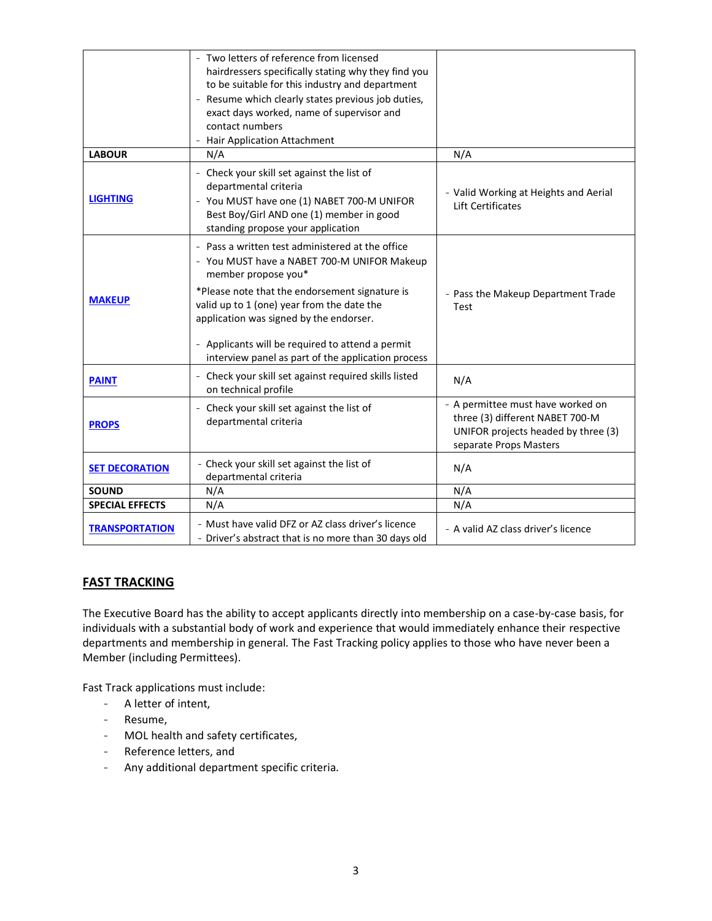|                        | - Two letters of reference from licensed<br>hairdressers specifically stating why they find you<br>to be suitable for this industry and department<br>Resume which clearly states previous job duties,<br>exact days worked, name of supervisor and<br>contact numbers<br>Hair Application Attachment                                                                       |                                                                                                                                       |
|------------------------|-----------------------------------------------------------------------------------------------------------------------------------------------------------------------------------------------------------------------------------------------------------------------------------------------------------------------------------------------------------------------------|---------------------------------------------------------------------------------------------------------------------------------------|
| <b>LABOUR</b>          | N/A                                                                                                                                                                                                                                                                                                                                                                         | N/A                                                                                                                                   |
| <b>LIGHTING</b>        | - Check your skill set against the list of<br>departmental criteria<br>- You MUST have one (1) NABET 700-M UNIFOR<br>Best Boy/Girl AND one (1) member in good<br>standing propose your application                                                                                                                                                                          | - Valid Working at Heights and Aerial<br>Lift Certificates                                                                            |
| <b>MAKEUP</b>          | - Pass a written test administered at the office<br>- You MUST have a NABET 700-M UNIFOR Makeup<br>member propose you*<br>*Please note that the endorsement signature is<br>valid up to 1 (one) year from the date the<br>application was signed by the endorser.<br>- Applicants will be required to attend a permit<br>interview panel as part of the application process | - Pass the Makeup Department Trade<br>Test                                                                                            |
| <b>PAINT</b>           | Check your skill set against required skills listed<br>on technical profile                                                                                                                                                                                                                                                                                                 | N/A                                                                                                                                   |
| <b>PROPS</b>           | - Check your skill set against the list of<br>departmental criteria                                                                                                                                                                                                                                                                                                         | - A permittee must have worked on<br>three (3) different NABET 700-M<br>UNIFOR projects headed by three (3)<br>separate Props Masters |
| <b>SET DECORATION</b>  | - Check your skill set against the list of<br>departmental criteria                                                                                                                                                                                                                                                                                                         | N/A                                                                                                                                   |
| <b>SOUND</b>           | N/A                                                                                                                                                                                                                                                                                                                                                                         | N/A                                                                                                                                   |
| <b>SPECIAL EFFECTS</b> | N/A                                                                                                                                                                                                                                                                                                                                                                         | N/A                                                                                                                                   |
| <b>TRANSPORTATION</b>  | - Must have valid DFZ or AZ class driver's licence<br>- Driver's abstract that is no more than 30 days old                                                                                                                                                                                                                                                                  | - A valid AZ class driver's licence                                                                                                   |

# **FAST TRACKING**

The Executive Board has the ability to accept applicants directly into membership on a case-by-case basis, for individuals with a substantial body of work and experience that would immediately enhance their respective departments and membership in general. The Fast Tracking policy applies to those who have never been a Member (including Permittees).

Fast Track applications must include:

- A letter of intent,
- Resume,
- MOL health and safety certificates,
- Reference letters, and
- Any additional department specific criteria.